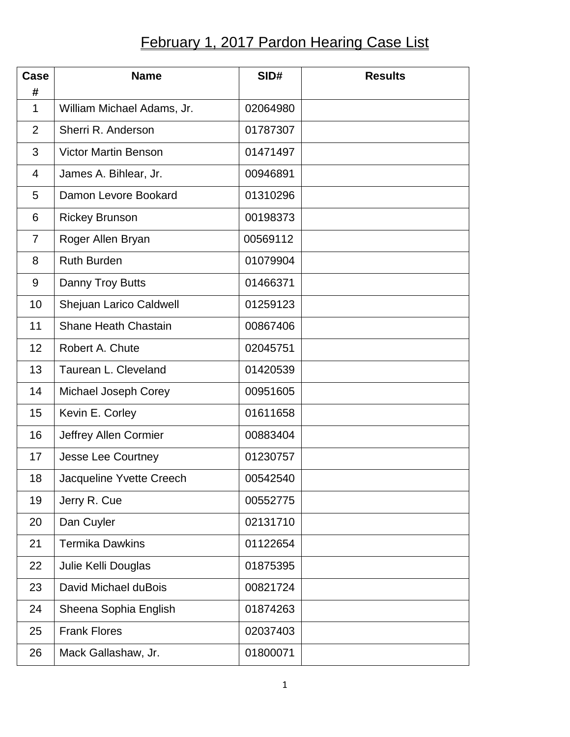## **February 1, 2017 Pardon Hearing Case List**

| Case<br>#      | <b>Name</b>                 | SID#     | <b>Results</b> |
|----------------|-----------------------------|----------|----------------|
| 1              | William Michael Adams, Jr.  | 02064980 |                |
| $\overline{2}$ | Sherri R. Anderson          | 01787307 |                |
| 3              | <b>Victor Martin Benson</b> | 01471497 |                |
| $\overline{4}$ | James A. Bihlear, Jr.       | 00946891 |                |
| 5              | Damon Levore Bookard        | 01310296 |                |
| 6              | <b>Rickey Brunson</b>       | 00198373 |                |
| $\overline{7}$ | Roger Allen Bryan           | 00569112 |                |
| 8              | <b>Ruth Burden</b>          | 01079904 |                |
| 9              | Danny Troy Butts            | 01466371 |                |
| 10             | Shejuan Larico Caldwell     | 01259123 |                |
| 11             | <b>Shane Heath Chastain</b> | 00867406 |                |
| 12             | Robert A. Chute             | 02045751 |                |
| 13             | Taurean L. Cleveland        | 01420539 |                |
| 14             | Michael Joseph Corey        | 00951605 |                |
| 15             | Kevin E. Corley             | 01611658 |                |
| 16             | Jeffrey Allen Cormier       | 00883404 |                |
| 17             | Jesse Lee Courtney          | 01230757 |                |
| 18             | Jacqueline Yvette Creech    | 00542540 |                |
| 19             | Jerry R. Cue                | 00552775 |                |
| 20             | Dan Cuyler                  | 02131710 |                |
| 21             | <b>Termika Dawkins</b>      | 01122654 |                |
| 22             | Julie Kelli Douglas         | 01875395 |                |
| 23             | David Michael duBois        | 00821724 |                |
| 24             | Sheena Sophia English       | 01874263 |                |
| 25             | <b>Frank Flores</b>         | 02037403 |                |
| 26             | Mack Gallashaw, Jr.         | 01800071 |                |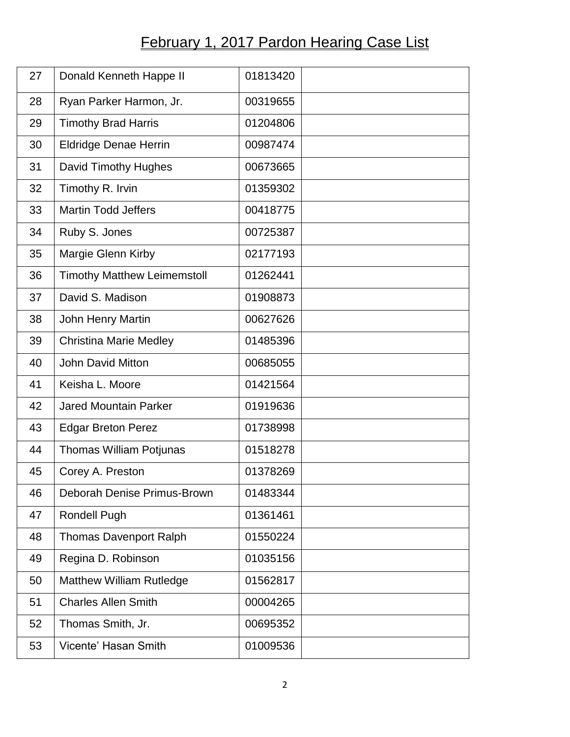## **February 1, 2017 Pardon Hearing Case List**

| 27 | Donald Kenneth Happe II            | 01813420 |
|----|------------------------------------|----------|
| 28 | Ryan Parker Harmon, Jr.            | 00319655 |
| 29 | <b>Timothy Brad Harris</b>         | 01204806 |
| 30 | <b>Eldridge Denae Herrin</b>       | 00987474 |
| 31 | David Timothy Hughes               | 00673665 |
| 32 | Timothy R. Irvin                   | 01359302 |
| 33 | <b>Martin Todd Jeffers</b>         | 00418775 |
| 34 | Ruby S. Jones                      | 00725387 |
| 35 | Margie Glenn Kirby                 | 02177193 |
| 36 | <b>Timothy Matthew Leimemstoll</b> | 01262441 |
| 37 | David S. Madison                   | 01908873 |
| 38 | <b>John Henry Martin</b>           | 00627626 |
| 39 | <b>Christina Marie Medley</b>      | 01485396 |
| 40 | <b>John David Mitton</b>           | 00685055 |
| 41 | Keisha L. Moore                    | 01421564 |
| 42 | <b>Jared Mountain Parker</b>       | 01919636 |
| 43 | <b>Edgar Breton Perez</b>          | 01738998 |
| 44 | <b>Thomas William Potjunas</b>     | 01518278 |
| 45 | Corey A. Preston                   | 01378269 |
| 46 | Deborah Denise Primus-Brown        | 01483344 |
| 47 | <b>Rondell Pugh</b>                | 01361461 |
| 48 | <b>Thomas Davenport Ralph</b>      | 01550224 |
| 49 | Regina D. Robinson                 | 01035156 |
| 50 | <b>Matthew William Rutledge</b>    | 01562817 |
| 51 | <b>Charles Allen Smith</b>         | 00004265 |
| 52 | Thomas Smith, Jr.                  | 00695352 |
| 53 | Vicente' Hasan Smith               | 01009536 |